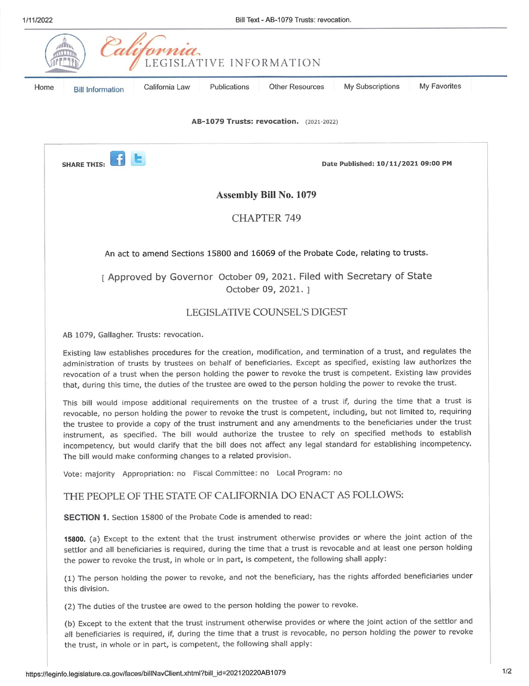|      | Palifornia<br>LEGISLATIVE INFORMATION                                                                                                                                                                                                                                                                                                                                                                                                                                                                                                                                                                                                               |
|------|-----------------------------------------------------------------------------------------------------------------------------------------------------------------------------------------------------------------------------------------------------------------------------------------------------------------------------------------------------------------------------------------------------------------------------------------------------------------------------------------------------------------------------------------------------------------------------------------------------------------------------------------------------|
| Home | My Favorites<br><b>Other Resources</b><br>My Subscriptions<br>California Law<br>Publications<br><b>Bill Information</b>                                                                                                                                                                                                                                                                                                                                                                                                                                                                                                                             |
|      | AB-1079 Trusts: revocation. (2021-2022)                                                                                                                                                                                                                                                                                                                                                                                                                                                                                                                                                                                                             |
|      | <b>SHARE THIS:</b><br>Date Published: 10/11/2021 09:00 PM                                                                                                                                                                                                                                                                                                                                                                                                                                                                                                                                                                                           |
|      | <b>Assembly Bill No. 1079</b>                                                                                                                                                                                                                                                                                                                                                                                                                                                                                                                                                                                                                       |
|      | <b>CHAPTER 749</b>                                                                                                                                                                                                                                                                                                                                                                                                                                                                                                                                                                                                                                  |
|      | An act to amend Sections 15800 and 16069 of the Probate Code, relating to trusts.                                                                                                                                                                                                                                                                                                                                                                                                                                                                                                                                                                   |
|      | [ Approved by Governor October 09, 2021. Filed with Secretary of State<br>October 09, 2021. ]                                                                                                                                                                                                                                                                                                                                                                                                                                                                                                                                                       |
|      | LEGISLATIVE COUNSEL'S DIGEST                                                                                                                                                                                                                                                                                                                                                                                                                                                                                                                                                                                                                        |
|      | AB 1079, Gallagher. Trusts: revocation.                                                                                                                                                                                                                                                                                                                                                                                                                                                                                                                                                                                                             |
|      | Existing law establishes procedures for the creation, modification, and termination of a trust, and regulates the<br>administration of trusts by trustees on behalf of beneficiaries. Except as specified, existing law authorizes the<br>revocation of a trust when the person holding the power to revoke the trust is competent. Existing law provides<br>that, during this time, the duties of the trustee are owed to the person holding the power to revoke the trust.                                                                                                                                                                        |
|      | This bill would impose additional requirements on the trustee of a trust if, during the time that a trust is<br>revocable, no person holding the power to revoke the trust is competent, including, but not limited to, requiring<br>the trustee to provide a copy of the trust instrument and any amendments to the beneficiaries under the trust<br>instrument, as specified. The bill would authorize the trustee to rely on specified methods to establish<br>incompetency, but would clarify that the bill does not affect any legal standard for establishing incompetency.<br>The bill would make conforming changes to a related provision. |
|      | Vote: majority Appropriation: no Fiscal Committee: no Local Program: no                                                                                                                                                                                                                                                                                                                                                                                                                                                                                                                                                                             |
|      | THE PEOPLE OF THE STATE OF CALIFORNIA DO ENACT AS FOLLOWS:                                                                                                                                                                                                                                                                                                                                                                                                                                                                                                                                                                                          |
|      | SECTION 1. Section 15800 of the Probate Code is amended to read:                                                                                                                                                                                                                                                                                                                                                                                                                                                                                                                                                                                    |
|      | 15800. (a) Except to the extent that the trust instrument otherwise provides or where the joint action of the<br>settlor and all beneficiaries is required, during the time that a trust is revocable and at least one person holding<br>the power to revoke the trust, in whole or in part, is competent, the following shall apply:                                                                                                                                                                                                                                                                                                               |
|      | (1) The person holding the power to revoke, and not the beneficiary, has the rights afforded beneficiaries under<br>this division.                                                                                                                                                                                                                                                                                                                                                                                                                                                                                                                  |
|      | (2) The duties of the trustee are owed to the person holding the power to revoke.                                                                                                                                                                                                                                                                                                                                                                                                                                                                                                                                                                   |
|      | (b) Except to the extent that the trust instrument otherwise provides or where the joint action of the settlor and<br>all beneficiaries is required, if, during the time that a trust is revocable, no person holding the power to revoke<br>the trust, in whole or in part, is competent, the following shall apply:                                                                                                                                                                                                                                                                                                                               |